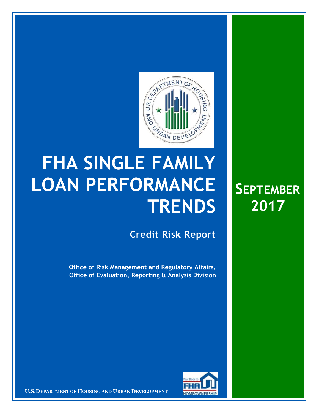

## **FHA SINGLE FAMILY LOAN PERFORMANCE TRENDS**

**Credit Risk Report**

**SEPTEMBER**

**2017**

**Office of Risk Management and Regulatory Affairs, Office of Evaluation, Reporting & Analysis Division**



**U.S.DEPARTMENT OF HOUSING AND URBAN DEVELOPMENT**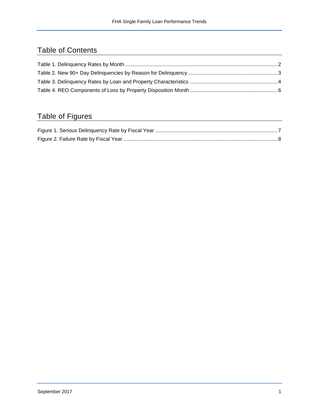## Table of Contents

## Table of Figures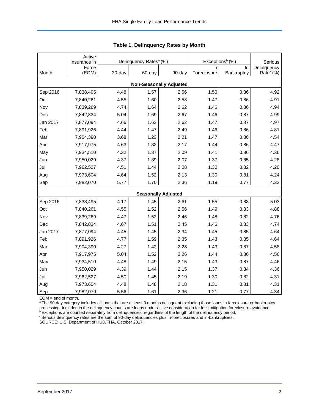<span id="page-2-0"></span>

|          | Active                | Delinquency Rates <sup>a</sup> (%) |        |                                | Exceptions <sup>b</sup> (%) |            |                        |
|----------|-----------------------|------------------------------------|--------|--------------------------------|-----------------------------|------------|------------------------|
|          | Insurance in<br>Force |                                    |        |                                | In                          | In         | Serious<br>Delinquency |
| Month    | (EOM)                 | 30-day                             | 60-day | 90-day                         | Foreclosure                 | Bankruptcy | Rate <sup>c</sup> (%)  |
|          |                       |                                    |        | <b>Non-Seasonally Adjusted</b> |                             |            |                        |
| Sep 2016 | 7,838,495             | 4.48                               | 1.57   | 2.56                           | 1.50                        | 0.86       | 4.92                   |
| Oct      | 7,840,261             | 4.55                               | 1.60   | 2.58                           | 1.47                        | 0.86       | 4.91                   |
| Nov      | 7,839,269             | 4.74                               | 1.64   | 2.62                           | 1.46                        | 0.86       | 4.94                   |
| Dec      | 7,842,834             | 5.04                               | 1.69   | 2.67                           | 1.46                        | 0.87       | 4.99                   |
| Jan 2017 | 7,877,094             | 4.66                               | 1.63   | 2.62                           | 1.47                        | 0.87       | 4.97                   |
| Feb      | 7,891,926             | 4.44                               | 1.47   | 2.49                           | 1.46                        | 0.86       | 4.81                   |
| Mar      | 7,904,390             | 3.68                               | 1.23   | 2.21                           | 1.47                        | 0.86       | 4.54                   |
| Apr      | 7,917,975             | 4.63                               | 1.32   | 2.17                           | 1.44                        | 0.86       | 4.47                   |
| May      | 7,934,510             | 4.32                               | 1.37   | 2.09                           | 1.41                        | 0.86       | 4.36                   |
| Jun      | 7,950,029             | 4.37                               | 1.39   | 2.07                           | 1.37                        | 0.85       | 4.28                   |
| Jul      | 7,962,527             | 4.51                               | 1.44   | 2.08                           | 1.30                        | 0.82       | 4.20                   |
| Aug      | 7,973,604             | 4.64                               | 1.52   | 2.13                           | 1.30                        | 0.81       | 4.24                   |
| Sep      | 7,982,070             | 5.77                               | 1.70   | 2.36                           | 1.19                        | 0.77       | 4.32                   |
|          |                       |                                    |        | <b>Seasonally Adjusted</b>     |                             |            |                        |
| Sep 2016 | 7,838,495             | 4.17                               | 1.45   | 2.61                           | 1.55                        | 0.88       | 5.03                   |
| Oct      | 7,840,261             | 4.55                               | 1.52   | 2.56                           | 1.49                        | 0.83       | 4.88                   |
| Nov      | 7,839,269             | 4.47                               | 1.52   | 2.46                           | 1.48                        | 0.82       | 4.76                   |
| Dec      | 7,842,834             | 4.67                               | 1.51   | 2.45                           | 1.46                        | 0.83       | 4.74                   |
| Jan 2017 | 7,877,094             | 4.45                               | 1.45   | 2.34                           | 1.45                        | 0.85       | 4.64                   |
| Feb      | 7,891,926             | 4.77                               | 1.59   | 2.35                           | 1.43                        | 0.85       | 4.64                   |
| Mar      | 7,904,390             | 4.27                               | 1.42   | 2.28                           | 1.43                        | 0.87       | 4.58                   |
| Apr      | 7,917,975             | 5.04                               | 1.52   | 2.26                           | 1.44                        | 0.86       | 4.56                   |
| May      | 7,934,510             | 4.48                               | 1.49   | 2.15                           | 1.43                        | 0.87       | 4.46                   |
| Jun      | 7,950,029             | 4.39                               | 1.44   | 2.15                           | 1.37                        | 0.84       | 4.36                   |
| Jul      | 7,962,527             | 4.50                               | 1.45   | 2.19                           | 1.30                        | 0.82       | 4.31                   |
| Aug      | 7,973,604             | 4.48                               | 1.48   | 2.18                           | 1.31                        | 0.81       | 4.31                   |
| Sep      | 7,982,070             | 5.56                               | 1.61   | 2.36                           | 1.21                        | 0.77       | 4.34                   |

**Table 1. Delinquency Rates by Month**

EOM = end of month.

a The 90-day category includes all loans that are at least 3 months delinquent excluding those loans in foreclosure or bankruptcy processing. Included in the delinquency counts are loans under active consideration for loss mitigation foreclosure avoidance.

**bExceptions are counted separately from delinquencies, regardless of the length of the delinquency period.** 

<sup>c</sup> Serious delinquency rates are the sum of 90-day delinquencies plus in-foreclosures and in-bankruptcies.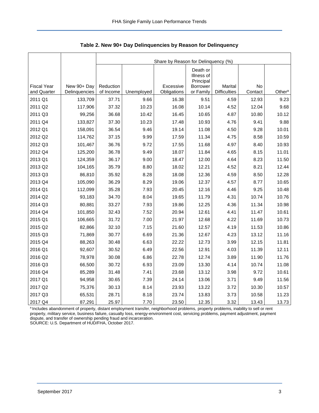|                    |               | Share by Reason for Delinquency (%) |            |             |                                                        |                     |         |                    |  |  |  |
|--------------------|---------------|-------------------------------------|------------|-------------|--------------------------------------------------------|---------------------|---------|--------------------|--|--|--|
| <b>Fiscal Year</b> | New 90+ Day   | Reduction                           |            | Excessive   | Death or<br>Illness of<br>Principal<br><b>Borrower</b> | Marital             | No      |                    |  |  |  |
| and Quarter        | Delinquencies | of Income                           | Unemployed | Obligations | or Family                                              | <b>Difficulties</b> | Contact | Other <sup>a</sup> |  |  |  |
| 2011 Q1            | 133,709       | 37.71                               | 9.66       | 16.38       | 9.51                                                   | 4.59                | 12.93   | 9.23               |  |  |  |
| 2011 Q2            | 117,906       | 37.32                               | 10.23      | 16.08       | 10.14                                                  | 4.52                | 12.04   | 9.68               |  |  |  |
| 2011 Q3            | 99,256        | 36.68                               | 10.42      | 16.45       | 10.65                                                  | 4.87                | 10.80   | 10.12              |  |  |  |
| 2011 Q4            | 133,827       | 37.30                               | 10.23      | 17.48       | 10.93                                                  | 4.76                | 9.41    | 9.88               |  |  |  |
| 2012 Q1            | 158,091       | 36.54                               | 9.46       | 19.14       | 11.08                                                  | 4.50                | 9.28    | 10.01              |  |  |  |
| 2012 Q2            | 114,762       | 37.15                               | 9.99       | 17.59       | 11.34                                                  | 4.75                | 8.58    | 10.59              |  |  |  |
| 2012 Q3            | 101,467       | 36.76                               | 9.72       | 17.55       | 11.68                                                  | 4.97                | 8.40    | 10.93              |  |  |  |
| 2012 Q4            | 125,200       | 36.78                               | 9.49       | 18.07       | 11.84                                                  | 4.65                | 8.15    | 11.01              |  |  |  |
| 2013 Q1            | 124,359       | 36.17                               | 9.00       | 18.47       | 12.00                                                  | 4.64                | 8.23    | 11.50              |  |  |  |
| 2013 Q2            | 104,165       | 35.79                               | 8.80       | 18.02       | 12.21                                                  | 4.52                | 8.21    | 12.44              |  |  |  |
| 2013 Q3            | 86,810        | 35.92                               | 8.28       | 18.08       | 12.36                                                  | 4.59                | 8.50    | 12.28              |  |  |  |
| 2013 Q4            | 105,090       | 36.29                               | 8.29       | 19.06       | 12.37                                                  | 4.57                | 8.77    | 10.65              |  |  |  |
| 2014 Q1            | 112,099       | 35.28                               | 7.93       | 20.45       | 12.16                                                  | 4.46                | 9.25    | 10.48              |  |  |  |
| 2014 Q2            | 93,183        | 34.70                               | 8.04       | 19.65       | 11.79                                                  | 4.31                | 10.74   | 10.76              |  |  |  |
| 2014 Q3            | 80,881        | 33.27                               | 7.93       | 19.86       | 12.25                                                  | 4.36                | 11.34   | 10.98              |  |  |  |
| 2014 Q4            | 101,850       | 32.43                               | 7.52       | 20.94       | 12.61                                                  | 4.41                | 11.47   | 10.61              |  |  |  |
| 2015 Q1            | 106,665       | 31.72                               | 7.00       | 21.97       | 12.68                                                  | 4.22                | 11.69   | 10.73              |  |  |  |
| 2015 Q2            | 82,866        | 32.10                               | 7.15       | 21.60       | 12.57                                                  | 4.19                | 11.53   | 10.86              |  |  |  |
| 2015 Q3            | 71,869        | 30.77                               | 6.69       | 21.36       | 12.67                                                  | 4.23                | 13.12   | 11.16              |  |  |  |
| 2015 Q4            | 88,263        | 30.48                               | 6.63       | 22.22       | 12.73                                                  | 3.99                | 12.15   | 11.81              |  |  |  |
| 2016 Q1            | 92,607        | 30.52                               | 6.49       | 22.56       | 12.91                                                  | 4.03                | 11.39   | 12.11              |  |  |  |
| 2016 Q2            | 78,978        | 30.08                               | 6.86       | 22.78       | 12.74                                                  | 3.89                | 11.90   | 11.76              |  |  |  |
| 2016 Q3            | 66,500        | 30.72                               | 6.93       | 23.09       | 13.30                                                  | 4.14                | 10.74   | 11.08              |  |  |  |
| 2016 Q4            | 85,289        | 31.48                               | 7.41       | 23.68       | 13.12                                                  | 3.98                | 9.72    | 10.61              |  |  |  |
| 2017 Q1            | 94,958        | 30.65                               | 7.39       | 24.14       | 13.06                                                  | 3.71                | 9.49    | 11.56              |  |  |  |
| 2017 Q2            | 75,376        | 30.13                               | 8.14       | 23.93       | 13.22                                                  | 3.72                | 10.30   | 10.57              |  |  |  |
| 2017 Q3            | 65,531        | 28.71                               | 8.18       | 23.74       | 13.83                                                  | 3.73                | 10.58   | 11.23              |  |  |  |
| 2017 Q4            | 87,291        | 25.97                               | 7.70       | 23.50       | 12.35                                                  | 3.32                | 13.43   | 13.73              |  |  |  |

<span id="page-3-0"></span>**Table 2. New 90+ Day Delinquencies by Reason for Delinquency**

a Includes abandonment of property, distant employment transfer, neighborhood problems, property problems, inability to sell or rent property, military service, business failure, casualty loss, energy-environment cost, servicing problems, payment adjustment, payment dispute, and transfer of ownership pending fraud and incarceration.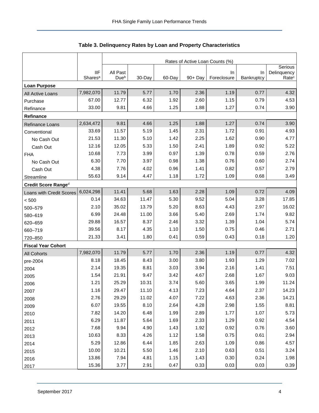<span id="page-4-0"></span>

|                           |                                   | Rates of Active Loan Counts (%) |        |        |         |                          |                  |                                  |  |  |
|---------------------------|-----------------------------------|---------------------------------|--------|--------|---------|--------------------------|------------------|----------------------------------|--|--|
|                           |                                   |                                 |        |        |         |                          |                  | Serious                          |  |  |
|                           | <b>IIF</b><br>Shares <sup>a</sup> | All Past<br>Dueb                | 30-Day | 60-Day | 90+ Day | <b>In</b><br>Foreclosure | In<br>Bankruptcy | Delinquency<br>Rate <sup>c</sup> |  |  |
| <b>Loan Purpose</b>       |                                   |                                 |        |        |         |                          |                  |                                  |  |  |
| All Active Loans          | 7,982,070                         | 11.79                           | 5.77   | 1.70   | 2.36    | 1.19                     | 0.77             | 4.32                             |  |  |
| Purchase                  | 67.00                             | 12.77                           | 6.32   | 1.92   | 2.60    | 1.15                     | 0.79             | 4.53                             |  |  |
| Refinance                 | 33.00                             | 9.81                            | 4.66   | 1.25   | 1.88    | 1.27                     | 0.74             | 3.90                             |  |  |
| Refinance                 |                                   |                                 |        |        |         |                          |                  |                                  |  |  |
| Refinance Loans           | 2,634,472                         | 9.81                            | 4.66   | 1.25   | 1.88    | 1.27                     | 0.74             | 3.90                             |  |  |
| Conventional              | 33.69                             | 11.57                           | 5.19   | 1.45   | 2.31    | 1.72                     | 0.91             | 4.93                             |  |  |
| No Cash Out               | 21.53                             | 11.30                           | 5.10   | 1.42   | 2.25    | 1.62                     | 0.90             | 4.77                             |  |  |
| Cash Out                  | 12.16                             | 12.05                           | 5.33   | 1.50   | 2.41    | 1.89                     | 0.92             | 5.22                             |  |  |
| <b>FHA</b>                | 10.68                             | 7.73                            | 3.99   | 0.97   | 1.39    | 0.78                     | 0.59             | 2.76                             |  |  |
| No Cash Out               | 6.30                              | 7.70                            | 3.97   | 0.98   | 1.38    | 0.76                     | 0.60             | 2.74                             |  |  |
| Cash Out                  | 4.38                              | 7.76                            | 4.02   | 0.96   | 1.41    | 0.82                     | 0.57             | 2.79                             |  |  |
| Streamline                | 55.63                             | 9.14                            | 4.47   | 1.18   | 1.72    | 1.09                     | 0.68             | 3.49                             |  |  |
| Credit Score Ranged       |                                   |                                 |        |        |         |                          |                  |                                  |  |  |
| Loans with Credit Scores  | 6,024,298                         | 11.41                           | 5.68   | 1.63   | 2.28    | 1.09                     | 0.72             | 4.09                             |  |  |
| < 500                     | 0.14                              | 34.63                           | 11.47  | 5.30   | 9.52    | 5.04                     | 3.28             | 17.85                            |  |  |
| 500-579                   | 2.10                              | 35.02                           | 13.79  | 5.20   | 8.63    | 4.43                     | 2.97             | 16.02                            |  |  |
| 580-619                   | 6.99                              | 24.48                           | 11.00  | 3.66   | 5.40    | 2.69                     | 1.74             | 9.82                             |  |  |
| 620-659                   | 29.88                             | 16.57                           | 8.37   | 2.46   | 3.32    | 1.39                     | 1.04             | 5.74                             |  |  |
| 660-719                   | 39.56                             | 8.17                            | 4.35   | 1.10   | 1.50    | 0.75                     | 0.46             | 2.71                             |  |  |
| 720-850                   | 21.33                             | 3.41                            | 1.80   | 0.41   | 0.59    | 0.43                     | 0.18             | 1.20                             |  |  |
| <b>Fiscal Year Cohort</b> |                                   |                                 |        |        |         |                          |                  |                                  |  |  |
| <b>All Cohorts</b>        | 7,982,070                         | 11.79                           | 5.77   | 1.70   | 2.36    | 1.19                     | 0.77             | 4.32                             |  |  |
| pre-2004                  | 8.18                              | 18.45                           | 8.43   | 3.00   | 3.80    | 1.93                     | 1.29             | 7.02                             |  |  |
| 2004                      | 2.14                              | 19.35                           | 8.81   | 3.03   | 3.94    | 2.16                     | 1.41             | 7.51                             |  |  |
| 2005                      | 1.54                              | 21.91                           | 9.47   | 3.42   | 4.67    | 2.68                     | 1.67             | 9.03                             |  |  |
| 2006                      | 1.21                              | 25.29                           | 10.31  | 3.74   | 5.60    | 3.65                     | 1.99             | 11.24                            |  |  |
| 2007                      | 1.16                              | 29.47                           | 11.10  | 4.13   | 7.23    | 4.64                     | 2.37             | 14.23                            |  |  |
| 2008                      | 2.76                              | 29.29                           | 11.02  | 4.07   | 7.22    | 4.63                     | 2.36             | 14.21                            |  |  |
| 2009                      | 6.07                              | 19.55                           | 8.10   | 2.64   | 4.28    | 2.98                     | 1.55             | 8.81                             |  |  |
| 2010                      | 7.82                              | 14.20                           | 6.48   | 1.99   | 2.89    | 1.77                     | 1.07             | 5.73                             |  |  |
| 2011                      | 6.29                              | 11.87                           | 5.64   | 1.69   | 2.33    | 1.29                     | 0.92             | 4.54                             |  |  |
| 2012                      | 7.68                              | 9.94                            | 4.90   | 1.43   | 1.92    | 0.92                     | 0.76             | 3.60                             |  |  |
| 2013                      | 10.63                             | 8.33                            | 4.26   | 1.12   | 1.58    | 0.75                     | 0.61             | 2.94                             |  |  |
| 2014                      | 5.29                              | 12.86                           | 6.44   | 1.85   | 2.63    | 1.09                     | 0.86             | 4.57                             |  |  |
| 2015                      | 10.00                             | 10.21                           | 5.50   | 1.46   | 2.10    | 0.63                     | 0.51             | 3.24                             |  |  |
| 2016                      | 13.86                             | 7.94                            | 4.81   | 1.15   | 1.43    | 0.30                     | 0.24             | 1.98                             |  |  |
| 2017                      | 15.36                             | 3.77                            | 2.91   | 0.47   | 0.33    | 0.03                     | 0.03             | 0.39                             |  |  |

| Table 3. Delinquency Rates by Loan and Property Characteristics |  |  |  |  |
|-----------------------------------------------------------------|--|--|--|--|
|-----------------------------------------------------------------|--|--|--|--|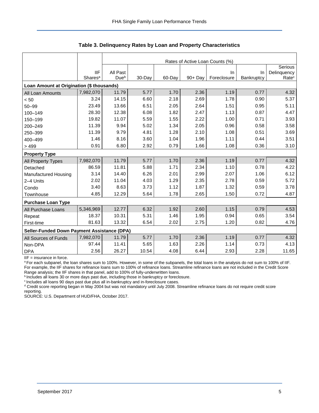|                                             |                     | Rates of Active Loan Counts (%) |        |        |            |             |            |                   |  |  |
|---------------------------------------------|---------------------|---------------------------------|--------|--------|------------|-------------|------------|-------------------|--|--|
|                                             |                     |                                 |        |        |            |             |            | Serious           |  |  |
|                                             | <b>IIF</b>          | All Past                        |        |        |            | In          | In         | Delinquency       |  |  |
|                                             | Shares <sup>a</sup> | Due <sup>b</sup>                | 30-Day | 60-Day | $90 + Day$ | Foreclosure | Bankruptcy | Rate <sup>c</sup> |  |  |
| Loan Amount at Origination (\$ thousands)   |                     |                                 |        |        |            |             |            |                   |  |  |
| All Loan Amounts                            | 7,982,070           | 11.79                           | 5.77   | 1.70   | 2.36       | 1.19        | 0.77       | 4.32              |  |  |
| < 50                                        | 3.24                | 14.15                           | 6.60   | 2.18   | 2.69       | 1.78        | 0.90       | 5.37              |  |  |
| $50 - 99$                                   | 23.49               | 13.66                           | 6.51   | 2.05   | 2.64       | 1.51        | 0.95       | 5.11              |  |  |
| 100-149                                     | 28.30               | 12.38                           | 6.08   | 1.82   | 2.47       | 1.13        | 0.87       | 4.47              |  |  |
| 150-199                                     | 19.82               | 11.07                           | 5.59   | 1.55   | 2.22       | 1.00        | 0.71       | 3.93              |  |  |
| 200-249                                     | 11.39               | 9.94                            | 5.02   | 1.34   | 2.05       | 0.96        | 0.58       | 3.58              |  |  |
| 250-399                                     | 11.39               | 9.79                            | 4.81   | 1.28   | 2.10       | 1.08        | 0.51       | 3.69              |  |  |
| 400-499                                     | 1.46                | 8.16                            | 3.60   | 1.04   | 1.96       | 1.11        | 0.44       | 3.51              |  |  |
| > 499                                       | 0.91                | 6.80                            | 2.92   | 0.79   | 1.66       | 1.08        | 0.36       | 3.10              |  |  |
| <b>Property Type</b>                        |                     |                                 |        |        |            |             |            |                   |  |  |
| All Property Types                          | 7,982,070           | 11.79                           | 5.77   | 1.70   | 2.36       | 1.19        | 0.77       | 4.32              |  |  |
| Detached                                    | 86.59               | 11.81                           | 5.88   | 1.71   | 2.34       | 1.10        | 0.78       | 4.22              |  |  |
| <b>Manufactured Housing</b>                 | 3.14                | 14.40                           | 6.26   | 2.01   | 2.99       | 2.07        | 1.06       | 6.12              |  |  |
| 2-4 Units                                   | 2.02                | 11.04                           | 4.03   | 1.29   | 2.35       | 2.78        | 0.59       | 5.72              |  |  |
| Condo                                       | 3.40                | 8.63                            | 3.73   | 1.12   | 1.87       | 1.32        | 0.59       | 3.78              |  |  |
| Townhouse                                   | 4.85                | 12.29                           | 5.64   | 1.78   | 2.65       | 1.50        | 0.72       | 4.87              |  |  |
| <b>Purchase Loan Type</b>                   |                     |                                 |        |        |            |             |            |                   |  |  |
| All Purchase Loans                          | 5,346,969           | 12.77                           | 6.32   | 1.92   | 2.60       | 1.15        | 0.79       | 4.53              |  |  |
| Repeat                                      | 18.37               | 10.31                           | 5.31   | 1.46   | 1.95       | 0.94        | 0.65       | 3.54              |  |  |
| First-time                                  | 81.63               | 13.32                           | 6.54   | 2.02   | 2.75       | 1.20        | 0.82       | 4.76              |  |  |
| Seller-Funded Down Payment Assistance (DPA) |                     |                                 |        |        |            |             |            |                   |  |  |
| All Sources of Funds                        | 7,982,070           | 11.79                           | 5.77   | 1.70   | 2.36       | 1.19        | 0.77       | 4.32              |  |  |
| Non-DPA                                     | 97.44               | 11.41                           | 5.65   | 1.63   | 2.26       | 1.14        | 0.73       | 4.13              |  |  |
| <b>DPA</b>                                  | 2.56                | 26.27                           | 10.54  | 4.08   | 6.44       | 2.93        | 2.28       | 11.65             |  |  |

**Table 3. Delinquency Rates by Loan and Property Characteristics**

IIF = insurance in force.

a For each subpanel, the loan shares sum to 100%. However, in some of the subpanels, the total loans in the analysis do not sum to 100% of IIF. For example, the IIF shares for refinance loans sum to 100% of refinance loans. Streamline refinance loans are not included in the Credit Score Range analysis; the IIF shares in that panel, add to 100% of fully-underwritten loans.

**b** Includes all loans 30 or more days past due, including those in bankruptcy or foreclosure.

<sup>c</sup> Includes all loans 90 days past due plus all in-bankruptcy and in-foreclosure cases.

d Credit score reporting began in May 2004 but was not mandatory until July 2008. Streamline refinance loans do not require credit score reporting.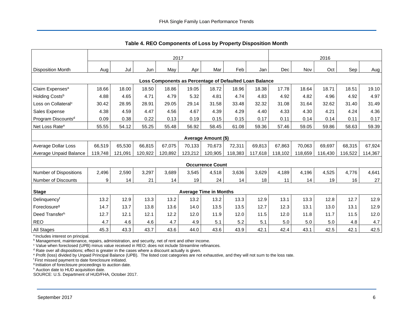<span id="page-6-0"></span>

|                                                         | 2017    |         |         |         |         |                               |         | 2016    |            |         |         |         |         |
|---------------------------------------------------------|---------|---------|---------|---------|---------|-------------------------------|---------|---------|------------|---------|---------|---------|---------|
| <b>Disposition Month</b>                                | Aug     | Jul     | Jun     | May     | Apr     | Mar                           | Feb     | Jan     | <b>Dec</b> | Nov     | Oct     | Sep     | Aug     |
| Loss Components as Percentage of Defaulted Loan Balance |         |         |         |         |         |                               |         |         |            |         |         |         |         |
| Claim Expenses <sup>a</sup>                             | 18.66   | 18.00   | 18.50   | 18.86   | 19.05   | 18.72                         | 18.96   | 18.38   | 17.78      | 18.64   | 18.71   | 18.51   | 19.10   |
| Holding Costsb                                          | 4.88    | 4.65    | 4.71    | 4.79    | 5.32    | 4.81                          | 4.74    | 4.83    | 4.92       | 4.82    | 4.96    | 4.92    | 4.97    |
| Loss on Collateral <sup>c</sup>                         | 30.42   | 28.95   | 28.91   | 29.05   | 29.14   | 31.58                         | 33.48   | 32.32   | 31.08      | 31.64   | 32.62   | 31.40   | 31.49   |
| Sales Expense                                           | 4.38    | 4.59    | 4.47    | 4.56    | 4.67    | 4.39                          | 4.29    | 4.40    | 4.33       | 4.30    | 4.21    | 4.24    | 4.36    |
| Program Discounts <sup>d</sup>                          | 0.09    | 0.38    | 0.22    | 0.13    | 0.19    | 0.15                          | 0.15    | 0.17    | 0.11       | 0.14    | 0.14    | 0.11    | 0.17    |
| Net Loss Rate <sup>e</sup>                              | 55.55   | 54.12   | 55.25   | 55.48   | 56.92   | 58.45                         | 61.08   | 59.36   | 57.46      | 59.05   | 59.86   | 58.63   | 59.39   |
|                                                         |         |         |         |         |         | Average Amount (\$)           |         |         |            |         |         |         |         |
| Average Dollar Loss                                     | 66,519  | 65,530  | 66,815  | 67,075  | 70,133  | 70,673                        | 72,311  | 69,813  | 67,863     | 70,063  | 69,697  | 68,315  | 67,924  |
| Average Unpaid Balance                                  | 119,748 | 121,091 | 120,922 | 120,892 | 123,212 | 120,905                       | 118,383 | 117,618 | 118,102    | 118,659 | 116,430 | 116,522 | 114,367 |
|                                                         |         |         |         |         |         | <b>Occurrence Count</b>       |         |         |            |         |         |         |         |
| Number of Dispositions                                  | 2,496   | 2,590   | 3,297   | 3,689   | 3,545   | 4,518                         | 3,636   | 3,629   | 4,189      | 4,196   | 4,525   | 4,776   | 4,641   |
| Number of Discounts                                     | 9       | 14      | 21      | 14      | 19      | 24                            | 14      | 18      | 11         | 14      | 19      | 16      | 27      |
| <b>Stage</b>                                            |         |         |         |         |         | <b>Average Time in Months</b> |         |         |            |         |         |         |         |
| Delinquencyf                                            | 13.2    | 12.9    | 13.3    | 13.2    | 13.2    | 13.2                          | 13.3    | 12.9    | 13.1       | 13.3    | 12.8    | 12.7    | 12.9    |
| Foreclosure <sup>g</sup>                                | 14.7    | 13.7    | 13.8    | 13.6    | 14.0    | 13.5                          | 13.5    | 12.7    | 12.3       | 13.1    | 13.0    | 13.1    | 12.9    |
| Deed Transferh                                          | 12.7    | 12.1    | 12.1    | 12.2    | 12.0    | 11.9                          | 12.0    | 11.5    | 12.0       | 11.8    | 11.7    | 11.5    | 12.0    |
| <b>REO</b>                                              | 4.7     | 4.6     | 4.6     | 4.7     | 4.9     | 5.1                           | 5.2     | 5.1     | 5.0        | 5.0     | 5.0     | 4.8     | 4.7     |
| All Stages                                              | 45.3    | 43.3    | 43.7    | 43.6    | 44.0    | 43.6                          | 43.9    | 42.1    | 42.4       | 43.1    | 42.5    | 42.1    | 42.5    |

**Table 4. REO Components of Loss by Property Disposition Month**

<sup>a</sup> Includes interest on principal.

**b** Management, maintenance, repairs, administration, and security, net of rent and other income.

<sup>c</sup> Value when foreclosed (UPB) minus value received in REO; does not include Streamline refinances.

 $d$  Rate over all dispositions; effect is greater in the cases where a discount actually is given.

<sup>e</sup> Profit (loss) divided by Unpaid Principal Balance (UPB). The listed cost categories are not exhaustive, and they will not sum to the loss rate.

<sup>f</sup> First missed payment to date foreclosure initiated.

<sup>g</sup> Initiation of foreclosure proceedings to auction date.

h Auction date to HUD acquisition date.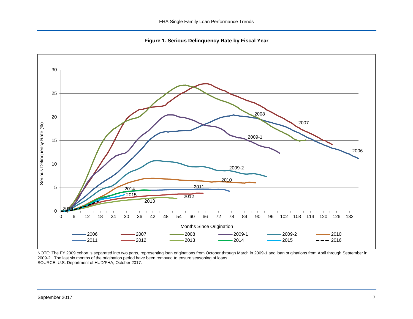**Figure 1. Serious Delinquency Rate by Fiscal Year**

<span id="page-7-0"></span>

NOTE: The FY 2009 cohort is separated into two parts, representing loan originations from October through March in 2009-1 and loan originations from April through September in 2009-2. The last six months of the origination period have been removed to ensure seasoning of loans. SOURCE: U.S. Department of HUD/FHA, October 2017.